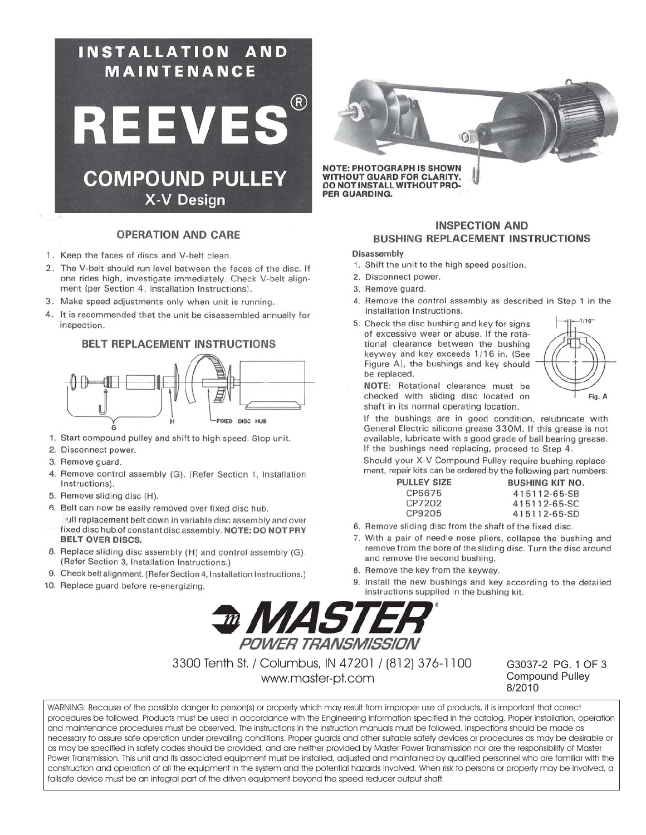

### **OPERATION AND CARE**

- 1. Keep the faces of discs and V-belt clean.
- 2. The V-belt should run level between the faces of the disc. If one rides high, investigate immediately. Check V-belt alignment (per Section 4, Installation Instructions).
- 3. Make speed adjustments only when unit is running.
- 4. It is recommended that the unit be disassembled annually for inspection.

### **BELT REPLACEMENT INSTRUCTIONS**



- 1. Start compound pulley and shift to high speed. Stop unit.
- 2. Disconnect power.
- 3. Remove guard.
- 4. Remove control assembly (G). (Refer Section 1, Installation Instructions).
- 5. Remove sliding disc (H).
- 6. Belt can now be easily removed over fixed disc hub.
- vull replacement belt down in variable disc assembly and over fixed disc hub of constant disc assembly. NOTE: DO NOT PRY **BELT OVER DISCS.**
- 8. Replace sliding disc assembly (H) and control assembly (G). (Refer Section 3, Installation Instructions.)
- 9. Check belt alignment. (Refer Section 4, Installation Instructions.)
- 10. Replace guard before re-energizing.



# **WITHOUT GUARD FOR CLARITY.**<br>DO NOT INSTALL WITHOUT PRO-PER GUARDING.

## **INSPECTION AND BUSHING REPLACEMENT INSTRUCTIONS**

#### Disassembly

- 1. Shift the unit to the high speed position.
- 2. Disconnect power.
- 3. Remove guard.
- 4. Remove the control assembly as described in Step 1 in the Installation Instructions.
- 5. Check the disc bushing and key for signs of excessive wear or abuse. If the rotational clearance between the bushing keyway and key exceeds 1/16 in. (See Figure A), the bushings and key should be replaced.



NOTE: Rotational clearance must be checked with sliding disc located on shaft in its normal operating location.

If the bushings are in good condition, relubricate with General Electric silicone grease 330M. If this grease is not available, lubricate with a good grade of ball bearing grease. If the bushings need replacing, proceed to Step 4.

Should your X-V Compound Pulley require bushing replacement, repair kits can be ordered by the following part numbers: PU

| JLLEY SIZE | <b>BUSHING KIT NO.</b> |
|------------|------------------------|
| CP5675     | 415112-65-SB           |
| CP7202     | 415112-65-SC           |
| CP9205     | 415112-65-SD           |
|            |                        |

- 6. Remove sliding disc from the shaft of the fixed disc.
- 7. With a pair of needle nose pliers, collapse the bushing and remove from the bore of the sliding disc. Turn the disc around and remove the second bushing.
- 8. Remove the key from the keyway.
- 9. Install the new bushings and key according to the detailed instructions supplied in the bushing kit.



3300 Tenth St. / Columbus, IN 47201 / (812) 376-1100 www.master-pt.com

G3037-2 PG. 1 OF 3 **Compound Pullev** 8/2010

WARNING: Because of the possible danger to person(s) or property which may result from improper use of products, it is important that correct procedures be followed. Products must be used in accordance with the Engineering information specified in the catalog. Proper installation, operation and maintenance procedures must be observed. The instructions in the instruction manuals must be followed. Inspections should be made as necessary to assure safe operation under prevailing conditions. Proper guards and other suitable safety devices or procedures as may be desirable or as may be specified in safety codes should be provided, and are neither provided by Master Power Transmission nor are the responsibility of Master Power Transmission. This unit and its associated equipment must be installed, adjusted and maintained by qualified personnel who are familiar with the construction and operation of all the equipment in the system and the potential hazards involved. When risk to persons or property may be involved, a failsafe device must be an integral part of the driven equipment beyond the speed reducer output shaft.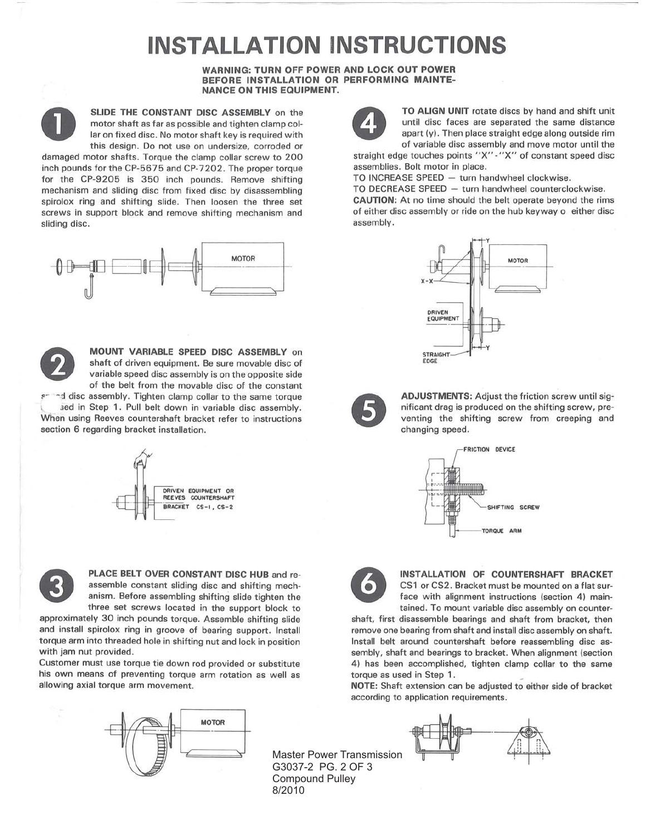# **INSTALLATION INSTRUCTIONS**

#### **WARNING: TURN OFF POWER AND LOCK OUT POWER** BEFORE INSTALLATION OR PERFORMING MAINTE-**NANCE ON THIS EQUIPMENT.**



SLIDE THE CONSTANT DISC ASSEMBLY on the motor shaft as far as possible and tighten clamp collar on fixed disc. No motor shaft key is required with this design. Do not use on undersize, corroded or

damaged motor shafts. Torque the clamp collar screw to 200 inch pounds for the CP-5675 and CP-7202. The proper torque for the CP-9205 is 350 inch pounds. Remove shifting mechanism and sliding disc from fixed disc by disassembling spirolox ring and shifting slide. Then loosen the three set screws in support block and remove shifting mechanism and sliding disc.





MOUNT VARIABLE SPEED DISC ASSEMBLY on shaft of driven equipment. Be sure movable disc of variable speed disc assembly is on the opposite side of the belt from the movable disc of the constant

ad disc assembly. Tighten clamp collar to the same torque sed in Step 1. Pull belt down in variable disc assembly. When using Reeves countershaft bracket refer to instructions section 6 regarding bracket installation.





PLACE BELT OVER CONSTANT DISC HUB and reassemble constant sliding disc and shifting mechanism. Before assembling shifting slide tighten the three set screws located in the support block to

approximately 30 inch pounds torque. Assemble shifting slide and install spirolox ring in groove of bearing support. Install torque arm into threaded hole in shifting nut and lock in position with jam nut provided.

Customer must use torque tie down rod provided or substitute his own means of preventing torque arm rotation as well as allowing axial torque arm movement.





TO ALIGN UNIT rotate discs by hand and shift unit until disc faces are separated the same distance apart (y). Then place straight edge along outside rim of variable disc assembly and move motor until the

straight edge touches points "X"-"X" of constant speed disc assemblies. Bolt motor in place.

TO INCREASE SPEED - turn handwheel clockwise.

TO DECREASE SPEED - turn handwheel counterclockwise. CAUTION: At no time should the belt operate beyond the rims of either disc assembly or ride on the hub keyway o either disc assembly.





ADJUSTMENTS: Adjust the friction screw until significant drag is produced on the shifting screw, preventing the shifting screw from creeping and changing speed.





INSTALLATION OF COUNTERSHAFT BRACKET CS1 or CS2. Bracket must be mounted on a flat surface with alignment instructions (section 4) maintained. To mount variable disc assembly on counter-

shaft, first disassemble bearings and shaft from bracket, then remove one bearing from shaft and install disc assembly on shaft. Install belt around countershaft before reassembling disc assembly, shaft and bearings to bracket. When alignment (section 4) has been accomplished, tighten clamp collar to the same torque as used in Step 1.

NOTE: Shaft extension can be adjusted to either side of bracket according to application requirements.

**Master Power Transmission** G3037-2 PG. 2 OF 3 **Compound Pulley** 8/2010